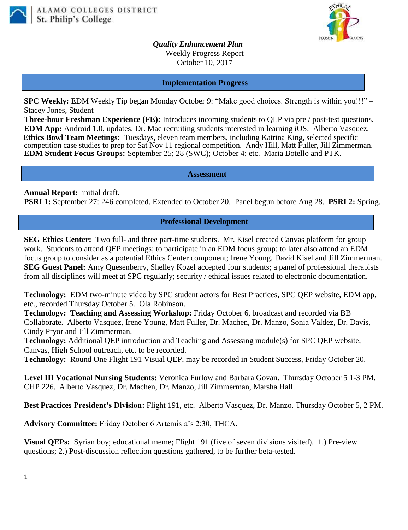



*Quality Enhancement Plan* Weekly Progress Report October 10, 2017

**Implementation Progress**

**SPC Weekly:** EDM Weekly Tip began Monday October 9: "Make good choices. Strength is within you!!!" – Stacey Jones, Student

**Three-hour Freshman Experience (FE):** Introduces incoming students to QEP via pre / post-test questions. **EDM App:** Android 1.0, updates. Dr. Mac recruiting students interested in learning iOS. Alberto Vasquez. **Ethics Bowl Team Meetings:** Tuesdays, eleven team members, including Katrina King, selected specific competition case studies to prep for Sat Nov 11 regional competition. Andy Hill, Matt Fuller, Jill Zimmerman. **EDM Student Focus Groups:** September 25; 28 (SWC); October 4; etc. Maria Botello and PTK.

**Assessment**

**Annual Report:** initial draft. **PSRI 1:** September 27: 246 completed. Extended to October 20. Panel begun before Aug 28. **PSRI 2:** Spring.

## **Professional Development**

**SEG Ethics Center:** Two full- and three part-time students. Mr. Kisel created Canvas platform for group work. Students to attend QEP meetings; to participate in an EDM focus group; to later also attend an EDM focus group to consider as a potential Ethics Center component; Irene Young, David Kisel and Jill Zimmerman. **SEG Guest Panel:** Amy Quesenberry, Shelley Kozel accepted four students; a panel of professional therapists from all disciplines will meet at SPC regularly; security / ethical issues related to electronic documentation.

**Technology:** EDM two-minute video by SPC student actors for Best Practices, SPC QEP website, EDM app, etc., recorded Thursday October 5.Ola Robinson.

**Technology: Teaching and Assessing Workshop:** Friday October 6, broadcast and recorded via BB Collaborate. Alberto Vasquez, Irene Young, Matt Fuller, Dr. Machen, Dr. Manzo, Sonia Valdez, Dr. Davis, Cindy Pryor and Jill Zimmerman.

**Technology:** Additional QEP introduction and Teaching and Assessing module(s) for SPC QEP website, Canvas, High School outreach, etc. to be recorded.

**Technology:** Round One Flight 191 Visual QEP, may be recorded in Student Success, Friday October 20.

**Level III Vocational Nursing Students:** Veronica Furlow and Barbara Govan. Thursday October 5 1-3 PM. CHP 226. Alberto Vasquez, Dr. Machen, Dr. Manzo, Jill Zimmerman, Marsha Hall.

**Best Practices President's Division:** Flight 191, etc. Alberto Vasquez, Dr. Manzo. Thursday October 5, 2 PM.

**Advisory Committee:** Friday October 6 Artemisia's 2:30, THCA**.**

**Visual QEPs:** Syrian boy; educational meme; Flight 191 (five of seven divisions visited). 1.) Pre-view questions; 2.) Post-discussion reflection questions gathered, to be further beta-tested.